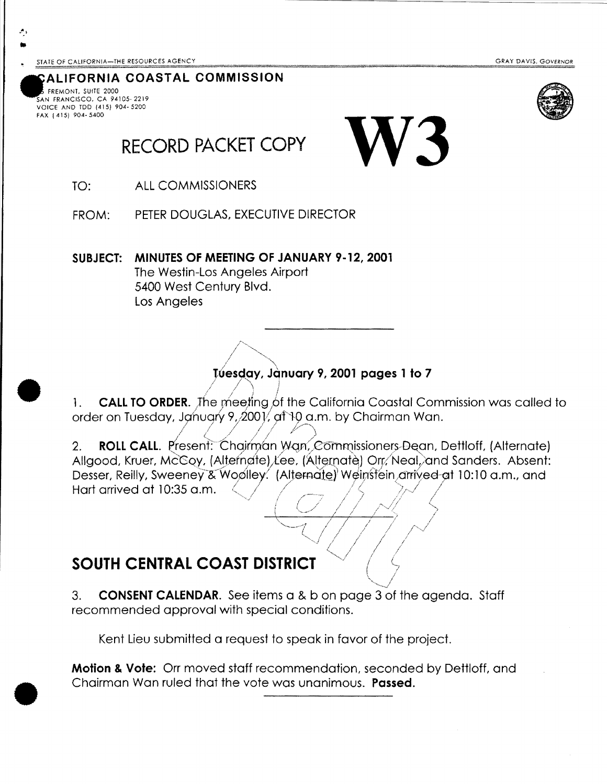**GRAY DAVIS, GOVERNOR** 



### ALIFORNIA COASTAL COMMISSION

FREMONT, SUITE 2000 AN FRANCISCO, CA 94105-2219 VOICE AND TDD (415) 904- 5200 FAX (415) 904-5400

## **RECORD PACKET COPY**

TO: **ALL COMMISSIONERS** 

PETER DOUGLAS. EXECUTIVE DIRECTOR FROM:

SUBJECT: MINUTES OF MEETING OF JANUARY 9-12, 2001 The Westin-Los Angeles Airport 5400 West Century Blvd. Los Angeles

### Tuesday, January 9, 2001 pages 1 to 7

**CALL TO ORDER.** The meeting of the California Coastal Commission was called to 1. order on Tuesday, January 9, 2001, at 10 a.m. by Chairman Wan.

**ROLL CALL.** Present: Chairman Wan, Commissioners-Dean, Dettloff, (Alternate)  $2.$ Allgood, Kruer, McCoy, (Alternate) Lee, (Alternate) Orr, Neal, and Sanders. Absent: Desser, Reilly, Sweeney & Woolley. (Alternate) Weinstein arrived at 10:10 a.m., and Hart arrived at 10:35 a.m.

## **SOUTH CENTRAL COAST DISTRICT**

 $3.$ **CONSENT CALENDAR.** See items a & b on page 3 of the agenda. Staff recommended approval with special conditions.

Kent Lieu submitted a request to speak in favor of the project.

**Motion & Vote:** Orr moved staff recommendation, seconded by Dettloff, and Chairman Wan ruled that the vote was unanimous. **Passed.**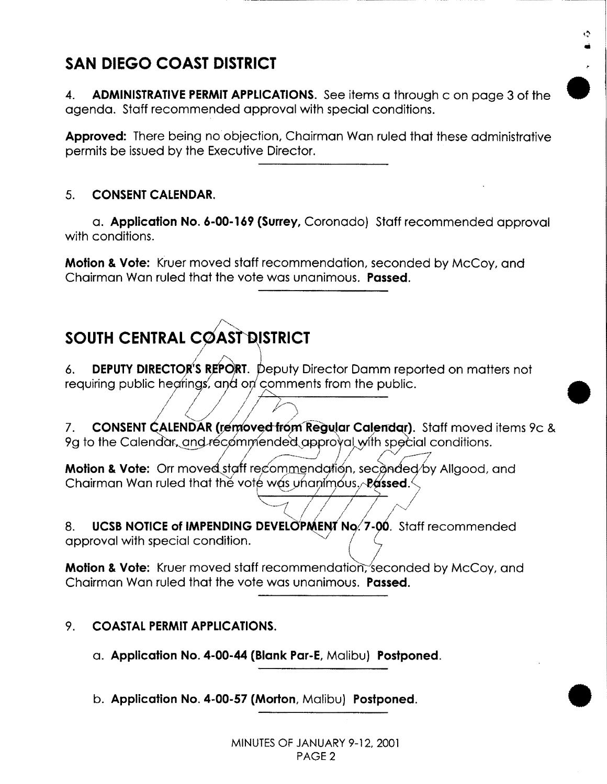## **SAN DIEGO COAST DISTRICT**

4. **ADMINISTRATIVE PERMIT APPLICATIONS.** See items a through c on page 3 of the agenda. Staff recommended approval with special conditions.

•

•

•

**Approved:** There being no objection, Chairman Wan ruled that these administrative permits be issued by the Executive Director.

### 5. **CONSENT CALENDAR.**

a. **Application No. 6-00-169 (Surrey,** Coronado) Staff recommended approval with conditions.

**Motion & Vote:** Kruer moved staff recommendation, seconded by McCoy, and Chairman Wan ruled that the vote was unanimous. **Passed.** 

# **SOUTH CENTRAL COAST DISTRICT**

I

6. **DEPUTY DIRECTOR'S REPORT.** Deputy Director Damm reported on matters not requiring public hearings, and on comments from the public.

requiring poblic rieginitys, drive on comments from the poblic.<br>7. **CONSENT CALENDAR (removed from Regular Calendar)**. Staff moved items 9c & 9g to the Calendar, and recommended approval with special conditions.

**Motion & Vote:** Orr moved staff recommendation, secanded by Allgood, and Chairman Wan ruled that the vote was unanimous. **Passed.** ·----~; <sup>I</sup>*I* ~

8. **UCSB NOTICE of IMPENDING DEVELOPMENT No. 7-00.** Staff recommended approval with special condition.

**Motion & Vote:** Kruer moved staff recommendation, seconded by McCoy, and Chairman Wan ruled that the vote was unanimous. **Passed.** 

### 9. **COASTAL PERMIT APPLICATIONS.**

- a. **Application No. 4-00-44 (Blank Par-E,** Malibu) **Postponed.**
- b. **Application No. 4-00-57 (Morton,** Malibu) **Postponed.**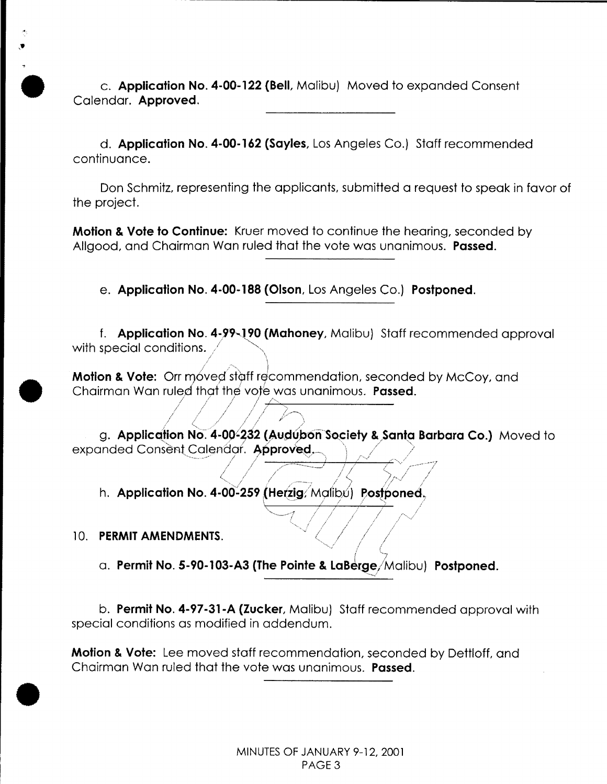• c. **Application No. 4-00-122 (BelL** Malibu) Moved to expanded Consent Calendar. **Approved.** 

d. **Application No. 4-00-162 (Sayles,** Los Angeles Co.} Staff recommended continuance.

Don Schmitz, representing the applicants, submitted a request to speak in favor of the project.

**Motion & Vote to Continue:** Kruer moved to continue the hearing, seconded by Allgood, and Chairman Wan ruled that the vote was unanimous. **Passed.** 

e. **Application No. 4-00-188 (Olson,** Los Angeles Co.) **Postponed.** 

f. **Application No. 4-99-190 (Mahoney, Malibu) Staff recommended approval** with special conditions.  $/$   $\sim$ .<sup>'</sup>

**Motion & Vote:** Orr móved staff recommendation, seconded by McCoy, and Chairman Wan ruled that the vote was unanimous. **Passed.** 

// <.,,, ' /./ // / \_// g. **Application No. 4-00-232 (Audúbon Society & Santa Barbara Co.)** Moved to expanded Consent Calendor. Approved.

 $/$  /  $/$   $/$   $/$   $/$   $/$   $/$   $/$   $/$   $/$ 

 $\sim$ 1 / / /  $\sim$ 

/ /

.. , / I / ' I;·/ / ' / ( ' .·· <sup>I</sup>;: *I/ j*  h. **Application No. 4-00-259 (Herzig**/Malibú) Postponed<sub>,</sub>

 $1 / I$   $1 / I$ 

 $\overline{\phantom{a}}$ 

10. **PERMIT AMENDMENTS.** 

•

•

*{* (\_ . <sup>I</sup> a. **Permit No. 5-90-103-A3 (The Pointe & LaBerge**/Malibu) Postponed.

b. **Permit No. 4-97-31-A (Zucker,** Malibu) Staff recommended approval with special conditions as modified in addendum.

**Motion & Vote:** Lee moved staff recommendation, seconded by Dettloff, and Chairman Wan ruled that the vote was unanimous. **Passed .**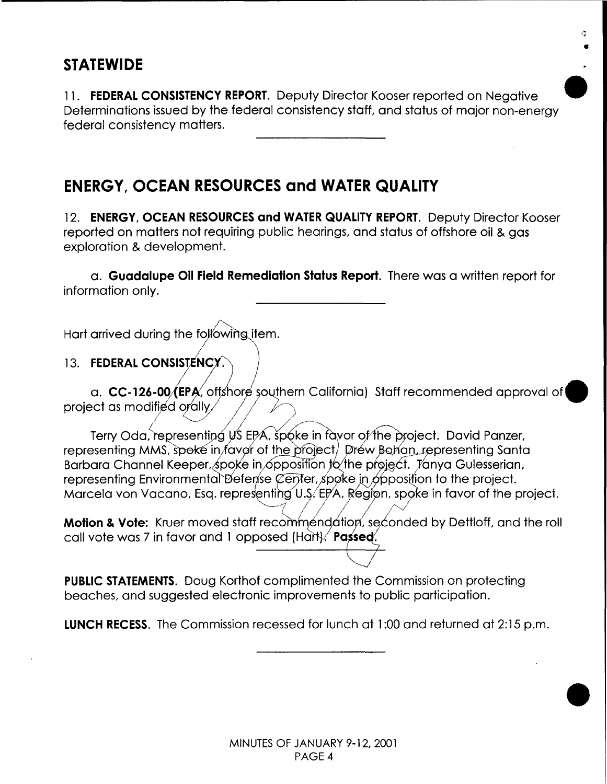## **STATEWIDE**

11. **FEDERAL CONSISTENCY REPORT.** Deputy Director Kooser reported on Negative Determinations issued by the federal consistency staff, and status of major non-energy federal consistency matters.

•

Ò

•

## **ENERGY, OCEAN RESOURCES and WATER QUALITY**

12. **ENERGY, OCEAN RESOURCES and WATER QUALITY REPORT.** Deputy Director Kooser reported on matters not requiring public hearings, and status of offshore oil & aas exploration & development.

a. **Guadalupe Oil Field Remediation Status Report.** There was a written report for information only.

Hart arrived during the following item.

### 13. FEDERAL CONSISTENCY.

a. CC-126-00/(EPA, offshore southern California) Staff recommended approval of project as modified orally.

Terry Oda, representing US EPA, spoke in favor of the project. David Panzer, representing MMS, spoke in favor of the project. Drew Bohan, representing Santa Barbara Channel Keeper, spoke in opposition to the project. Tanya Gulesserian, representing Environmental Defense Center, spoke in opposition to the project. Marcela von Vacano, Esq. representing U.S. EPA, Region, spoke in favor of the project.

Motion & Vote: Kruer moved staff recommendation, seconded by Dettloff, and the roll call vote was 7 in favor and 1 opposed (Hart). Passed.

**PUBLIC STATEMENTS.** Doug Korthof complimented the Commission on protecting beaches, and suggested electronic improvements to public participation.

**LUNCH RECESS.** The Commission recessed for lunch at 1:00 and returned at 2:15 p.m.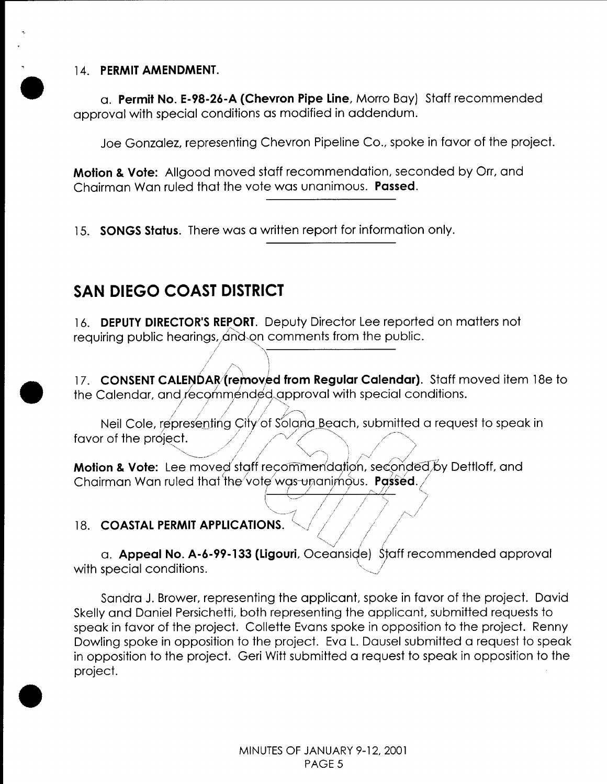### 14. **PERMIT AMENDMENT .**

•

•

•

a. **Permit No. E-98-26-A (Chevron Pipe Line,** Morro Bay) Staff recommended approval with special conditions as modified in addendum.

Joe Gonzalez, representing Chevron Pipeline Co., spoke in favor of the project.

**Motion & Vote:** Allgood moved staff recommendation, seconded by Orr, and Chairman Wan ruled that the vote was unanimous. **Passed.** 

15. **SONGS Status.** There was a written report for information only.

## **SAN DIEGO COAST DISTRICT**

*/* 

16. **DEPUTY DIRECTOR'S REPORT.** Deputy Director Lee reported on matters not requiring public hearings, and on comments from the public.  $\frac{1}{2}$ 

195, *Andren*<br>200*0 -* 2010 - 2011 17. CONSENT CALENDAR (removed from Regular Calendar). Staff moved item 18e to the Calendar, and lec9rnm.~nd¢9,,~pproval with special conditions. */* ./// //-.....>

*;1/* 

*I7.* **CONSENT CALENDAR/(removed from Regular Calendar)**. Staff moved item 18 the Calendar, and recommended approval with special conditions.<br>Neil Cole, representing City of Soland Beach, submitted a request to speak in fa  $\sim$  ///  $\sim$  ) $\sim$ 1

**Motion & Vote:** Lee moved staff recommendation, seconded by Dettloff, and Chairman Wan ruled that the vote was unanimous. **Passed.** 

### 18. **COASTAL PERMIT APPLICATIONS.**

*· ..... ,,I /* <sup>I</sup>·-v· *(* <sup>j</sup> a. **Appeal No. A-6-99-133 (Ligouri**, Oceanside)  $~$ Staff recommended approval with special conditions.

\ "·-.. .,/'· / / / ·, I I / I / /  $-1$  / / / /  $\sim$ 

Sandra J. Brower, representing the applicant, spoke in favor of the project. David Skelly and Daniel Persichetti, both representing the applicant, submitted requests to speak in favor of the project. Collette Evans spoke in opposition to the project. Renny Dowling spoke in opposition to the project. Eva L. Dausel submitted a request to speak in opposition to the project. Geri Witt submitted a request to speak in opposition to the project.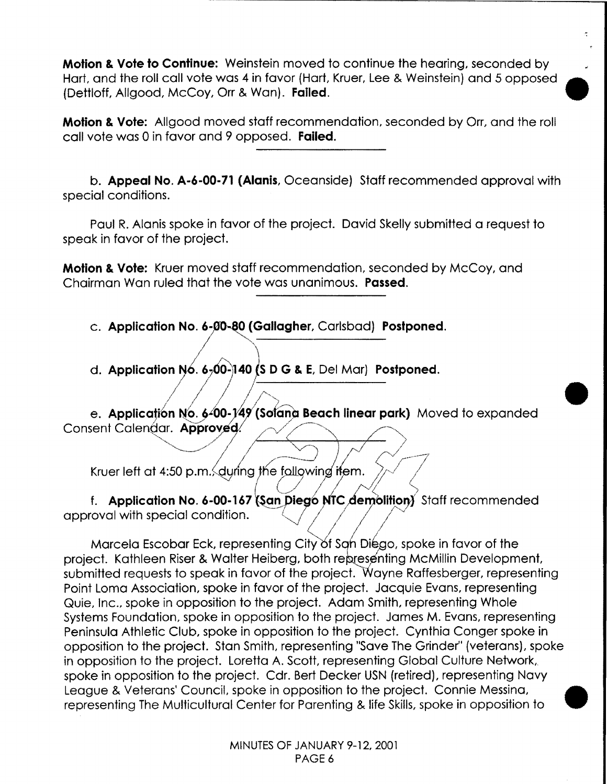**Motion & Vote to Continue:** Weinstein moved to continue the hearing, seconded by Hart, and the roll call vote was 4 in favor (Hart, Kruer, Lee & Weinstein) and 5 opposed • (Dettloff, Allgood, McCoy, Orr & Wan). **Failed.** 

**Motion & Vote:** Allgood moved staff recommendation, seconded by Orr, and the roll call vote was 0 in favor and 9 opposed. **Failed.** 

b. **Appeal No. A-6-00-71 (Alanis,** Oceanside) Staff recommended approval with special conditions.

Paul R. Alanis spoke in favor of the project. David Skelly submitted a request to speak in favor of the project.

**Motion & Vote:** Kruer moved staff recommendation, seconded by McCoy, and Chairman Wan ruled that the vote was unanimous. **Passed.** 

c. Application No. 6-00-80 (Gallagher, Carlsbad) Postponed.

d. **Application N6.** *6* 0-~40 **{s D G & E,** Del Mar} **Postponed.** *I* <sup>I</sup>

e. Application No. 6-00-149 (Solana Beach linear park) Moved to expanded Consent Calendar. Approved.

•

Kruer left at  $4:50$  p.m., during the following if em.

f. **Application No. 6-00-167 (San Diego NTC demolition)** Staff recommended approval with special condition.

Marcela Escobar Eck, representing City of San Diego, spoke in favor of the project. Kathleen Riser & Walter Heiberg, both representing McMillin Development, submitted requests to speak in favor of the project. Wayne Raffesberger, representing Point Loma Association, spoke in favor of the project. Jacquie Evans, representing Quie, Inc., spoke in opposition to the project. Adam Smith, representing Whole Systems Foundation, spoke in opposition to the project. James M. Evans, representing Peninsula Athletic Club, spoke in opposition to the project. Cynthia Conger spoke in opposition to the project. Stan Smith, representing "Save The Grinder'' (veterans}, spoke in opposition to the project. Loretta A. Scott, representing Global Culture Network, spoke in opposition to the project. Cdr. Bert Decker USN (retired), representing Navy League & Veterans' Council, spoke in opposition to the project. Connie Messina, representing The Multicultural Center for Parenting & life Skills, spoke in opposition to •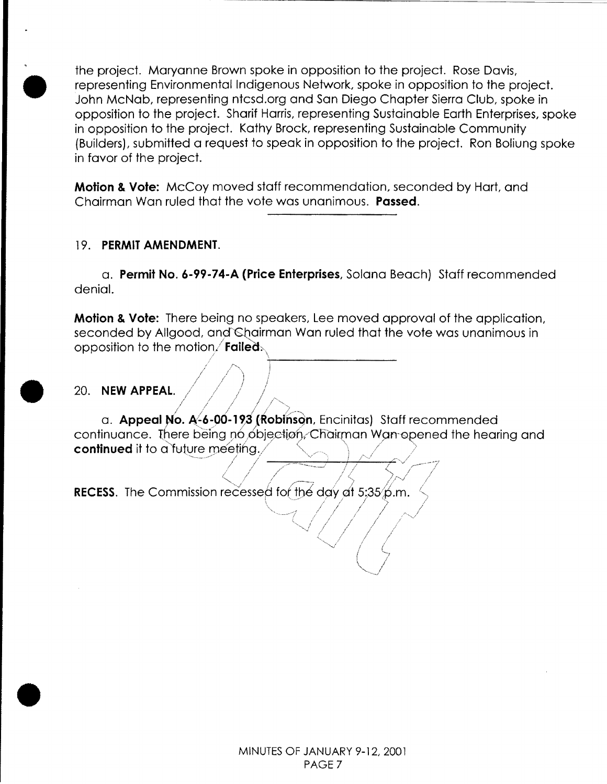the project. Maryanne Brown spoke in opposition to the project. Rose Davis, representing Environmental Indigenous Network, spoke in opposition to the project. John McNab, representing ntcsd.org and San Diego Chapter Sierra Club, spoke in opposition to the project. Sharif Harris, representing Sustainable Earth Enterprises, spoke in opposition to the project. Kathy Brock, representing Sustainable Community (Builders), submitted a request to speak in opposition to the project. Ron Boliung spoke in favor of the project.

**Motion & Vote:** McCoy moved staff recommendation, seconded by Hart, and Chairman Wan ruled that the vote was unanimous. **Passed.** 

### 19. **PERMIT AMENDMENT.**

•

•

•

a. **Permit No. 6-99-74-A (Price Enterprises,** Solana Beach) Staff recommended denial.

**Motion & Vote:** There being no speakers, Lee moved approval of the application, seconded by Allgood, and Chairman Wan ruled that the vote was unanimous in opposition to the motion/**Failed:** 

~---------------

20. NEW APPEAL.

a. Appeal No. A-6-00-193 (Robinson, Encinitas) Staff recommended continuance. There being no objection, Chairman Wan opened the hearing and continued it to a future meeting.

**RECESS.** The Commission recessed for the day at  $5:35/6$ .m.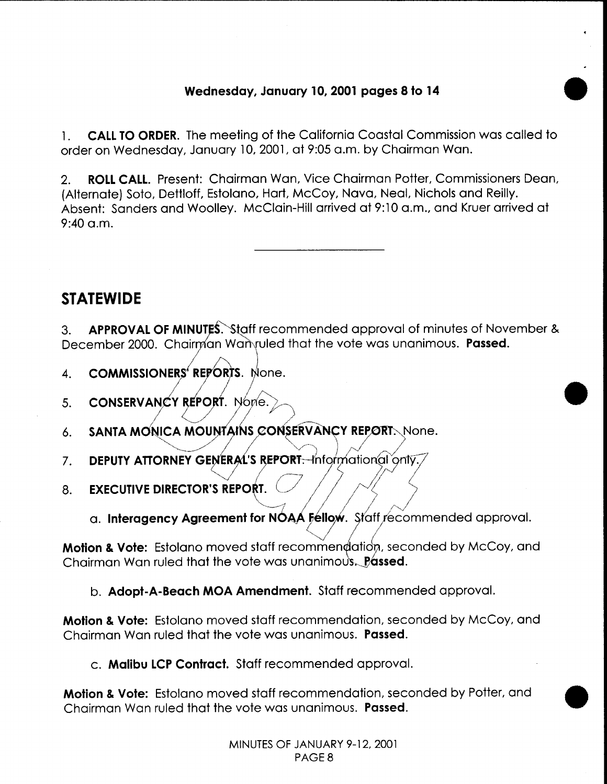### **Wednesday, January 10, 2001 pages 8 to 14**

•

•

1. **CALL TO ORDER.** The meeting of the California Coastal Commission was called to order on Wednesday, January 10, 2001, at 9:05a.m. by Chairman Wan.

2. **ROLL CALL.** Present: Chairman Wan, Vice Chairman Potter, Commissioners Dean, (Alternate) Soto, Dettloff, Estolano, Hart, McCoy, Nova, Neal, Nichols and Reilly. Absent: Sanders and Woolley. McClain-Hill arrived at 9:10 a.m., and Kruer arrived at  $9:40$  a.m.

## **STATEWIDE**

3. **APPROVAL OF MINUTES.** Staff recommended approval of minutes of November & December 2000. Chairman Wanvuled that the vote was unanimous. **Passed.** 

- 4. **COMMISSIONERS' REPORTS.** None.
- 5. **CONSERVANCY REPORT.** Nome.
- 6. SANTA MONICA MOUNTAINS CONSERVANCY REPORT. None.
- 7. DEPUTY ATTORNEY GENERAL'S REPORT. Informational only.
- 8. **EXECUTIVE DIRECTOR'S REPORT.** 
	- a. Interagency Agreement for NOAA Fellow. Staff recommended approval.

**Motion & Vote:** Estolano moved staff recommendation, seconded by McCoy, and Chairman Wan ruled that the vote was unanimous. Passed.

b. **Adopt-A-Beach MOA Amendment.** Staff recommended approval.

**Motion & Vote:** Estolano moved staff recommendation, seconded by McCoy, and Chairman Wan ruled that the vote was unanimous. **Passed.** 

c. **Malibu LCP Contract.** Staff recommended approval.

**Motion & Vote:** Estolano moved staff recommendation, seconded by Potter, and Chairman Wan ruled that the vote was unanimous. **Passed.**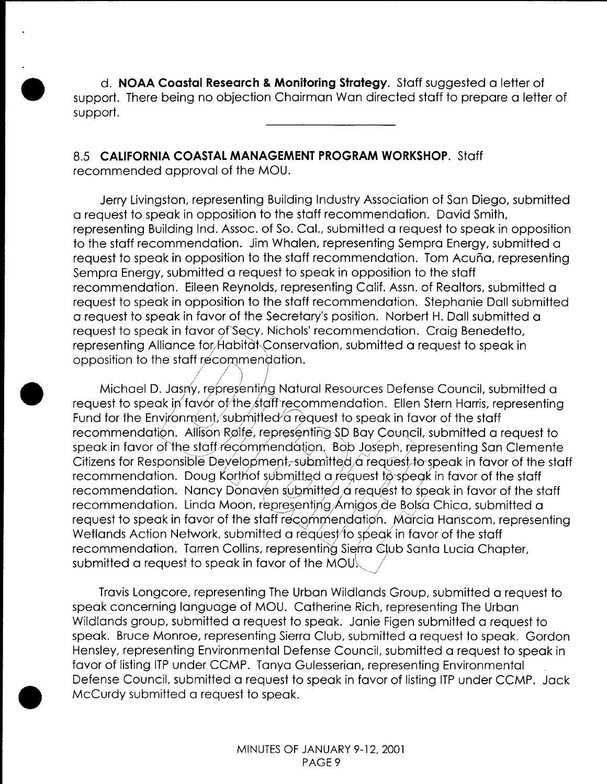d. **NOAA Coastal Research & Monitoring Strategy.** Staff suggested a letter of support. There being no objection Chairman Wan directed staff to prepare a letter of support.

## 8.5 **CALIFORNIA COASTAL MANAGEMENT PROGRAM WORKSHOP.** Staff

recommended approval of the MOU.

•

•

•

Jerry Livingston, representing Building Industry Association of San Diego, submitted a request to speak in opposition to the staff recommendation. David Smith, representing Building Ind. Assoc. of So. Cal., submitted a request to speak in opposition to the staff recommendation. Jim Whalen, representing Sempra Energy, submitted a request to speak in opposition to the staff recommendation. Tom Acuña, representing Sempra Energy, submitted a request to speak in opposition to the staff recommendation. Eileen Reynolds, representing Calif. Assn. of Realtors, submitted a request to speak in opposition to the staff recommendation. Stephanie Doll submitted a request to speak in favor of the Secretary's position. Norbert H. Doll submitted a request to speak in favor of Secy. Nichols' recommendation. Craig Benedetto, representing Alliance for Habitat Conservation, submitted a request to speak in opposition to the staff recommendation. /  $\lambda$  /  $\lambda$  ,  $\lambda$  ,  $\lambda$ 

/ I ) *j*  Michael D. Jasny, representing Natural Resources Defense Council, submitted a request to speak in favor of the staff recommendation. Ellen Stern Harris, representing Fund for the Environment, submitted a request to speak in favor of the staff recommendation. Allison Rølfe, representing SD Bay Council, submitted a request to speak in favor of the staff recommendation. Bob Joseph, representing San Clemente Citizens for Responsible Deyelopment,-submitted  $\alpha$  request to speak in favor of the staff recommendation. Doug Korthof submitted a request to speak in favor of the staff recommendation. Nancy Donaven submitted  $\alpha$  request to speak in favor of the staff recommendation. Linda Moon, representing Amigos de Bolsa Chica, submitted a request to speak in favor of the staff recommendation. Marcia Hanscom, representing Wetlands Action Network, submitted a request to speak in favor of the staff recommendation. Tarren Collins, representing Sierra Club Santa Lucia Chapter, submitted a request to speak in favor of the MOU $\downarrow$ 

Travis Longcore, representing The Urban Wildlands Group, submitted a request to speak concerning language of MOU. Catherine Rich, representing The Urban Wildlands group, submitted a request to speak. Janie Figen submitted a request to speak. Bruce Monroe, representing Sierra Club, submitted a request to speak. Gordon Hensley, representing Environmental Defense Council, submitted a request to speak in favor of listing ITP under CCMP. Tanya Gulesserian, representing Environmental Defense Council, submitted a request to speak in favor of listing ITP under CCMP. Jack McCurdy submitted a request to speak.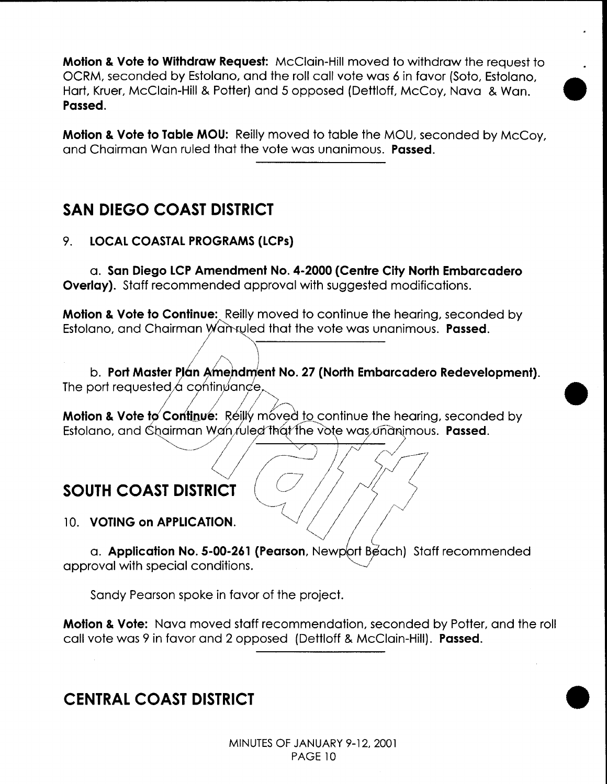**Motion & Vote to Withdraw Request:** McClain-Hill moved to withdraw the request to OCRM, seconded by Estolano, and the roll call vote was 6 in favor (Soto, Estolano, • Hart, Kruer, McClain-Hill & Potter) and 5 opposed (Dettloff, McCoy, Nova & Wan. **Passed.** 

**Motion & Vote to Table MOU:** Reilly moved to table the MOU, seconded by McCoy, and Chairman Wan ruled that the vote was unanimous. **Passed.** 

## **SAN DIEGO COAST DISTRICT**

### 9. **LOCAL COASTAL PROGRAMS (LCPs)**

a. **San Diego LCP Amendment No. 4-2000 (Centre City North Embarcadero Overlay).** Staff recommended approval with suggested modifications.

**Motion & Vote to Continue:** Reilly moved to continue the hearing, seconded by Estolano, and Chairman Wannuled that the vote was unanimous. **Passed.** 

b. Port Master Plán Amendment No. 27 (North Embarcadero Redevelopment). The port requested  $\alpha$  continuance,

Motion & Vote to Continue: Reilly moved to continue the hearing, seconded by Estolano, and Gb~~rman ,~?~;)G"1~¢1'tqL the V' e was Ti·'a imous. **Passed.** '--.\_/ *(I* <sup>~</sup>(v */Jl* 

# SOUTH COAST DISTRICT<br>10. VOTING on APPLICATION.

a. **Application No. 5-00-261 (Pearson**, Newport Beach) Staff recommended approval with special conditions.

Sandy Pearson spoke in favor of the project.

**Motion & Vote:** Nova moved staff recommendation, seconded by Potter, and the roll call vote was 9 in favor and 2 opposed (Dettloff & McClain-Hill). **Passed.** 

## **CENTRAL COAST DISTRICT**

•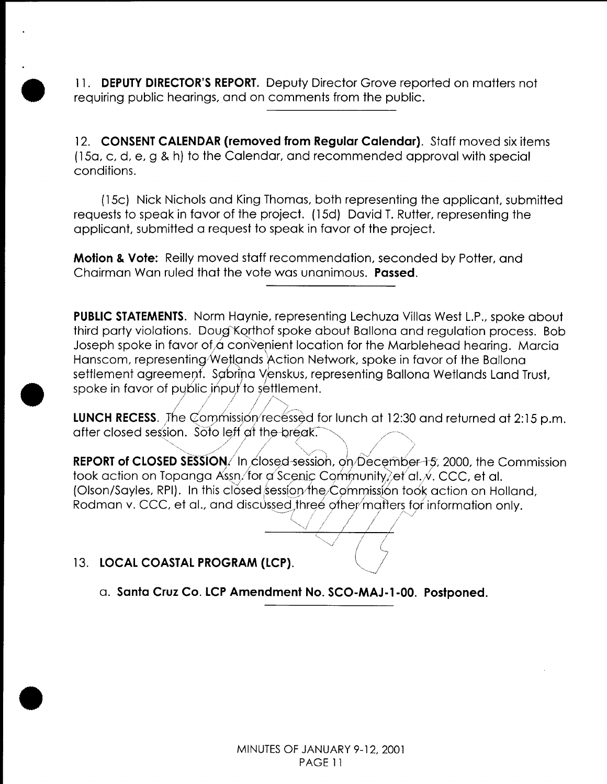11. **DEPUTY DIRECTOR'S REPORT.** Deputy Director Grove reported on matters not requiring public hearings, and on comments from the public.

12. **CONSENT CALENDAR (removed from Regular Calendar).** Staff moved six items ( 15a, c, d, e, g & h) to the Calendar, and recommended approval with special conditions.

(15c) Nick Nichols and King Thomas, both representing the applicant, submitted requests to speak in favor of the project. ( 15d) David T. Rutter, representing the applicant, submitted a request to speak in favor of the project.

**Motion & Vote:** Reilly moved staff recommendation, seconded by Potter, and Chairman Wan ruled that the vote was unanimous. **Passed.** 

**PUBLIC STATEMENTS.** Norm Haynie, representing Lechuza Villas West L.P., spoke about third party violations. Doug Korthof spoke about Ballona and regulation process. Bob Joseph spoke in favor of  $\alpha$  convenient location for the Marblehead hearing. Marcia Hanscom, representing Wetlands Action Network, spoke in favor of the Ballona settlement agreement. Sabrina Venskus, representing Ballona Wetlands Land Trust, spoke in favor of public input to settlement.

LUNCH RECESS. The Commission/recessed for lunch at 12:30 and returned at 2:15 p.m. after closed session. Soto left at the break.

*<sup>1</sup>*1 I ,\ ' I *<sup>1</sup>*'',,, '>,.\_ • *N,,./,\_,''* ,/ *{* "'-..-.-.~/'' '-•,,\ *}* ,. ... , • *//*  **REPORT of CLOSED SESSION./** In closed-session, on December-15, 2000, the Commission took action on Topanga Assn/for a Scenic Community, et al. . CCC, et al. (Olson/Sayles, RPI). In this closed session/the/ Commission took action on Holland, Rodman v. CCC, et al., and discus~~g)hree Qfhelmqtter~, f9r 1nformat1on only. *! (* I I' / i '',J ,,, ' *i* I I



13. LOCAL COASTAL PROGRAM (LCP).

, */*

•<br>●

•

•

a. **Santa Cruz Co. LCP Amendment No. SCO-MAJ-1-00. Postponed .**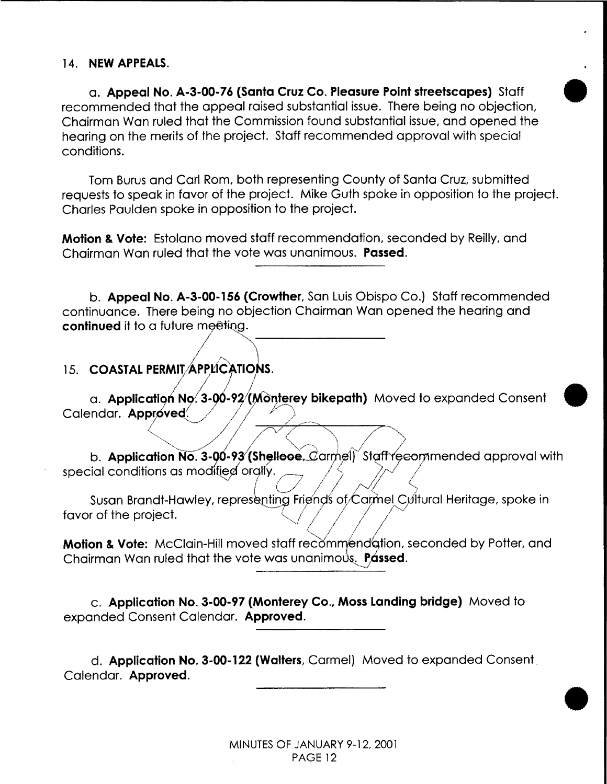### 14. **NEW APPEALS.**

a. **Appeal No. A-3-00-76 (Santa Cruz Co. Pleasure Point streetscapes)** Staff • recommended that the appeal raised substantial issue. There being no objection, Chairman Wan ruled that the Commission found substantial issue, and opened the hearing on the merits of the project. Staff recommended approval with special conditions.

Tom Burus and Carl Rom, both representing County of Santa Cruz, submitted requests to speak in favor of the project. Mike Guth spoke in opposition to the project. Charles Paulden spoke in opposition to the project.

**Motion & Vote:** Estolano moved staff recommendation, seconded by Reilly, and Chairman Wan ruled that the vote was unanimous. **Passed.** 

b. **Appeal No. A-3-00-156 (Crowther,** San Luis Obispo Co.) Staff recommended continuance. There being no objection Chairman Wan opened the hearing and Chairman Wan ruled that the vote was unanimous. Past<br>
b. Appeal No. A-3-00-156 (Crowther, San Luis Obisp<br>
continuance. There being no objection Chairman Wan<br>
continued it to a future meeting.<br>
15. COASTAL PERMIT APPLICATIO

### 15. **COASTAL PERMIT/APPLICATIONS.**

a. **Application No. 3-00-92/(Monterey bikepath)** Moved to expanded Consent Calendar. **Approved**.

*7* 

""- ~/ *1* //-~v *(*

b. Application No. 3-00-93 (Shellooe,  $C$ armel) Staffy ecommended approval with b. Application No. 3-00-93 (Shellooe, Carmel) Staff reed special conditions as modified orgily.

 $\rightarrow$   $\rightarrow$   $\rightarrow$ 

•

•

ca **Friends** of Carmel Cult Susan Brandt-Hawley, repres enting Friends of  $\zeta$ armel  $\zeta$ Jitural Heritage, spoke in favor of the project.

**Motion & Vote:** McClain-Hill moved staff recommend ation, seconded by Potter, and Chairman Wan ruled that the vote was unanimous. Passed.

c. **Application No. 3-00-97 (Monterey Co., Moss Landing bridge)** Moved to expanded Consent Calendar. **Approved.** 

d. **Application No. 3-00-122 (Walters,** Carmel) Moved to expanded Consent. Calendar. **Approved.**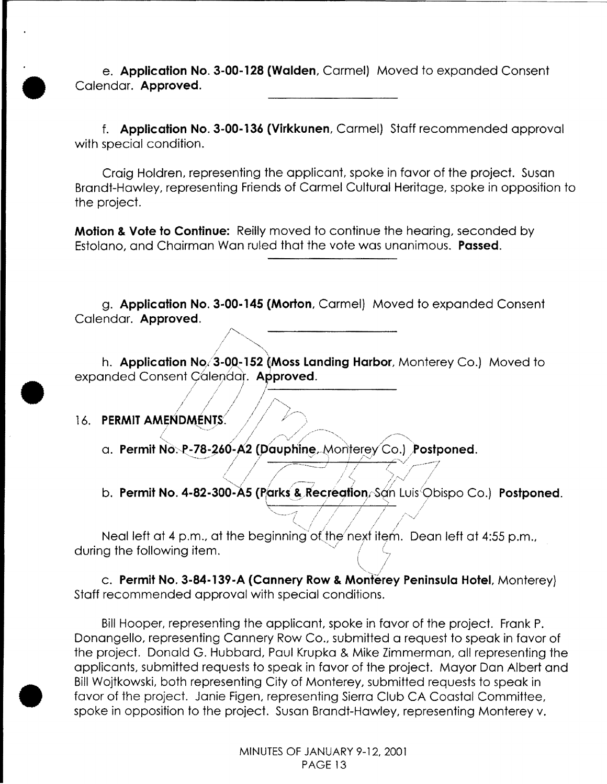e. **Application No. 3-00-128 (Walden,** Carmel) Moved to expanded Consent Calendar. **Approved.** 

f. **Application No. 3-00-136 (Virkkunen,** Carmel} Staff recommended approval with special condition.

Craig Holdren, representing the applicant, spoke in favor of the project. Susan Brandt-Hawley, representing Friends of Carmel Cultural Heritage, spoke in opposition to the project.

**Motion & Vote to Continue:** Reilly moved to continue the hearing, seconded by Estolano, and Chairman Wan ruled that the vote was unanimous. **Passed.** 

g. **Application No. 3-00-145 (Morton,** Carmel) Moved to expanded Consent Calendar. **Approved.** 

h. **Application No. 3-00-152 (Moss Landing Harbor,** Monterey Co.) Moved to expanded Consent Calendar. **Approved**.

16. **PERMIT AMENDMÉNTS.**  $\left\langle \sqrt{\phantom{a}}\right\rangle$ 

•

•

•

a. **Permit** No~·P-78-~60-,(2 (pauphine,,.MoritereyCo.) **lostponed.** ·----·-· */ 1 .* v ·. • *1·,;* .·•• */*  <sup>I</sup>/' ----~.J I / / v /--···-;

;/ <sup>I</sup>// *j !!* <sup>I</sup>~-----------------

/~· <sup>I</sup>*/* "'~ ,,

I I *I .I* ;/"-.• , ; / I I "

b. **Permit No. 4-82-300-A5 (Parks & Recreation,**~San Luis<sup>/</sup>Obispo Co.) **Postponed.** 

""-~--~-~ *-·-")'* 1/ !/ ./ / /<- ~/

\ */* 

;/ ;' , / / -, / I '·· *1* / I <.. <sup>I</sup>*.-,j /* 

 $\overline{\phantom{a}}$  / / / /

··-*..* / */* / / / Neal left at 4 p.m., at the beginning of the next item. Dean left at 4:55 p.m., during the following item.

c. Permit No. 3-84-139-A (Cannery Row & Monterey Peninsula Hotel, Monterey) Staff recommended approval with special conditions.

Bill Hooper, representing the applicant, spoke in favor of the project. Frank P. Donangello, representing Cannery Row Co., submitted a request to speak in favor of the project. Donald G. Hubbard, Paul Krupka & Mike Zimmerman, all representing the applicants, submitted requests to speak in favor of the project. Mayor Dan Albert and Bill Wojtkowski, both representing City of Monterey, submitted requests to speak in favor of the project. Janie Figen, representing Sierra Club CA Coastal Committee, spoke in opposition to the project. Susan Brandt-Hawley, representing Monterey v.

> MINUTES OF JANUARY 9-12, 2001 PAGE 13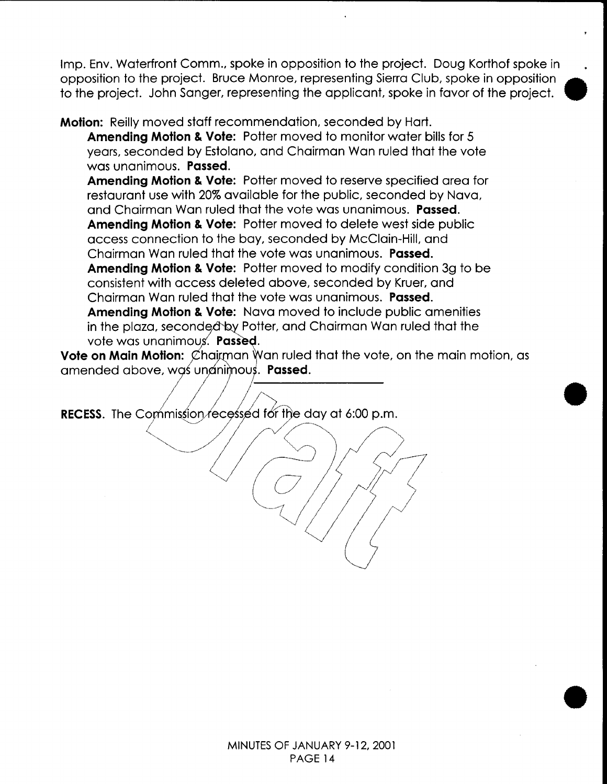Imp. Env. Waterfront Comm., spoke in opposition to the project. Doug Korthof spoke in opposition to the project. Bruce Monroe, representing Sierra Club, spoke in opposition to the project. John Sanger, representing the applicant, spoke in favor of the project. •

**Motion:** Reilly moved staff recommendation, seconded by Hart. **Amending Motion & Vote:** Potter moved to monitor water bills for 5

years, seconded by Estolano, and Chairman Wan ruled that the vote was unanimous. **Passed. Amending Motion & Vote:** Potter moved to reserve specified area for

restaurant use with 20% available for the public, seconded by Nova, and Chairman Wan ruled that the vote was unanimous. **Passed. Amending Motion & Vote:** Potter moved to delete west side public access connection to the bay, seconded by McClain-Hill, and Chairman Wan ruled that the vote was unanimous. **Passed.** 

**Amending Motion & Vote:** Potter moved to modify condition 3g to be consistent with access deleted above, seconded by Kruer, and Chairman Wan ruled that the vote was unanimous. **Passed.** 

**Amending Motion & Vote:** Nova moved to include public amenities in the plaza, seconded by Potter, and Chairman Wan ruled that the vote was unanimous. Passed.

Vote on Main Motion:  $\emptyset$  hairman Wan ruled that the vote, on the main motion, as amended above, was unanimous. **Passed.** 

•

•

RECESS. The Commission recessed for the day at 6:00 p.m. ommission/ecessed for the day at 6:00 p.m.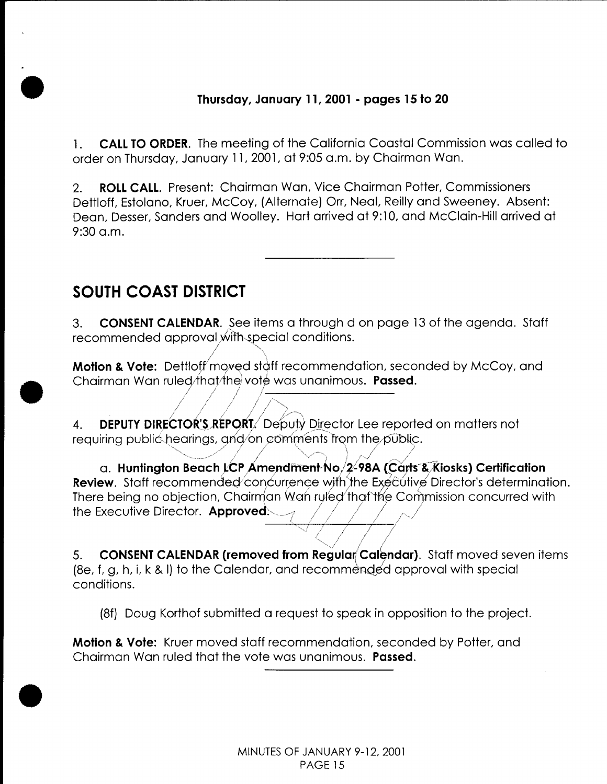### Thursday, January 11, 2001 - pages 15 to 20

**CALL TO ORDER.** The meeting of the California Coastal Commission was called to  $1.1$ order on Thursday, January 11, 2001, at 9:05 a.m. by Chairman Wan.

**ROLL CALL.** Present: Chairman Wan, Vice Chairman Potter, Commissioners  $2.$ Dettloff, Estolano, Kruer, McCoy, (Alternate) Orr, Neal, Reilly and Sweeney. Absent: Dean, Desser, Sanders and Woolley. Hart arrived at 9:10, and McClain-Hill arrived at  $9:30$  a.m.

## **SOUTH COAST DISTRICT**

**CONSENT CALENDAR.** See items a through d on page 13 of the agenda. Staff  $3.$ recommended approval with special conditions.

**Motion & Vote:** Dettloff moved staff recommendation, seconded by McCoy, and Chairman Wan ruled/that/the vote was unanimous. Passed.

**DEPUTY DIRECTOR'S REPORT** Deputy Director Lee reported on matters not 4. requiring public hearings, and/on comments from the public.

a. Huntington Beach LCP Amendment No. 2-98A (Carts & Kiosks) Certification Review. Staff recommended concurrence with the Executive Director's determination. There being no objection, Chairman Wan ruled that the Commission concurred with the Executive Director. Approved:

**CONSENT CALENDAR (removed from Regular Calendar).** Staff moved seven items 5. (8e, f, g, h, i, k & I) to the Calendar, and recommended approval with special conditions.

(8f) Doug Korthof submitted a request to speak in opposition to the project.

**Motion & Vote:** Kruer moved staff recommendation, seconded by Potter, and Chairman Wan ruled that the vote was unanimous. **Passed.**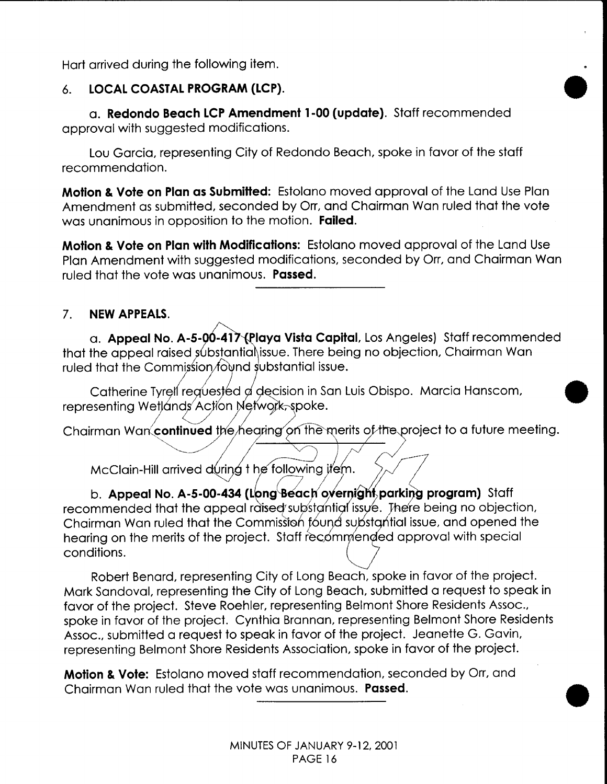Hart arrived during the following item.

### 6. **LOCAL COASTAL PROGRAM (LCP).**

a. **Redondo Beach LCP Amendment 1-00 (update).** Staff recommended approval with suggested modifications.

Lou Garcia, representing City of Redondo Beach, spoke in favor of the staff recommendation.

**Motion & Vote on Plan as Submitted:** Estolano moved approval of the Land Use Plan Amendment as submitted, seconded by Orr, and Chairman Wan ruled that the vote was unanimous in opposition to the motion. **Failed.** 

•

•

**Motion & Vote on Plan with Modifications:** Estolano moved approval of the Land Use Plan Amendment with suggested modifications, seconded by Orr, and Chairman Wan ruled that the vote was unanimous. **Passed.** 

### 7. **NEW APPEALS.**

a. **Appeal No. A-5-00-417 (Playa Vista Capital**, Los Angeles) Staff recommended that the appeal raised substantia issue. There being no objection, Chairman Wan ruled that the Commission found substantial issue.

Catherine Tyrell requested a decision in San Luis Obispo. Marcia Hanscom, representing Wetlands Action Network, spoke.

Chairman Wan continued the hearing on the merits of the project to a future meeting.

McClain-Hill arrived during t he following item.

b. **Appeal No. A-5-00-434 (Long Beach overnight parking program)** Staff recommended that the appeal raised substantial issue. There being no objection, Chairman Wan ruled that the Commission found substantial issue, and opened the hearing on the merits of the project. Staff recommended approval with special  $\frac{1}{2}$  conditions.

Robert Benard, representing City of Long Beach, spoke in favor of the project. Mark Sandoval, representing the City of Long Beach, submitted a request to speak in favor of the project. Steve Roehler, representing Belmont Shore Residents Assoc., spoke in favor of the project. Cynthia Brannan, representing Belmont Shore Residents Assoc., submitted a request to speak in favor of the project. Jeanette G. Gavin, representing Belmont Shore Residents Association, spoke in favor of the project.

**Motion & Vote:** Estolano moved staff recommendation, seconded by Orr, and Chairman Wan ruled that the vote was unanimous. **Passed.**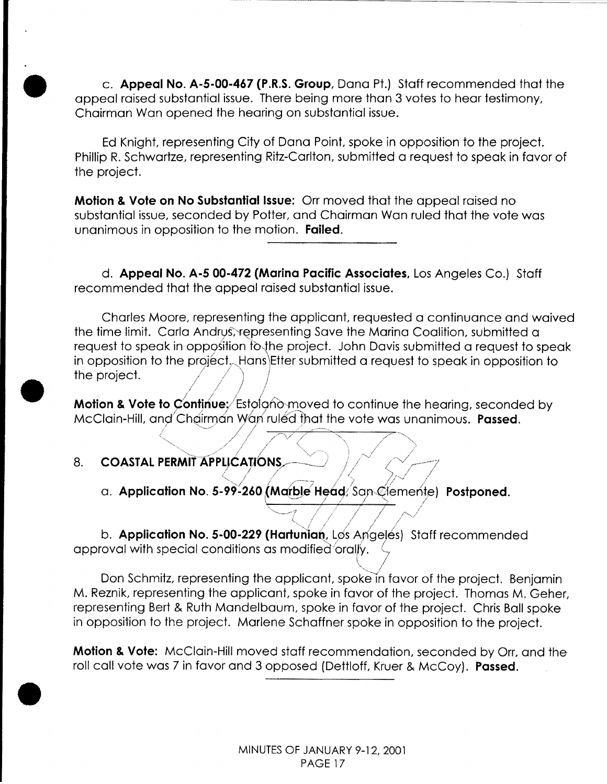c. Appeal No. A-5-00-467 (P.R.S. Group, Dana Pt.) Staff recommended that the appeal raised substantial issue. There being more than 3 votes to hear testimony, Chairman Wan opened the hearing on substantial issue.

Ed Knight, representing City of Dana Point, spoke in opposition to the project. Phillip R. Schwartze, representing Ritz-Carlton, submitted a request to speak in favor of the project.

**Motion & Vote on No Substantial Issue:** Orr moved that the appeal raised no substantial issue, seconded by Potter, and Chairman Wan ruled that the vote was unanimous in opposition to the motion. Failed.

d. Appeal No. A-5 00-472 (Marina Pacific Associates, Los Angeles Co.) Staff recommended that the appeal raised substantial issue.

Charles Moore, representing the applicant, requested a continuance and waived the time limit. Carla Andrus, representing Save the Marina Coalition, submitted a request to speak in opposition fo the project. John Davis submitted a request to speak in opposition to the project. Hans Etter submitted a request to speak in opposition to the project.

**Motion & Vote to Continue:** Estolgno-moved to continue the hearing, seconded by McClain-Hill, and Chairman Wan ruled that the vote was unanimous. Passed.

- **COASTAL PERMIT APPLICATIONS.** 8.
	- a. Application No. 5-99-260 (Marble Head/San Clemente) Postponed.

b. Application No. 5-00-229 (Hartunian, Los Angelés) Staff recommended approval with special conditions as modified orally.

Don Schmitz, representing the applicant, spoke in favor of the project. Benjamin M. Reznik, representing the applicant, spoke in favor of the project. Thomas M. Geher, representing Bert & Ruth Mandelbaum, spoke in favor of the project. Chris Ball spoke in opposition to the project. Marlene Schaffner spoke in opposition to the project.

**Motion & Vote:** McClain-Hill moved staff recommendation, seconded by Orr, and the roll call vote was 7 in favor and 3 opposed (Dettloff, Kruer & McCoy). Passed.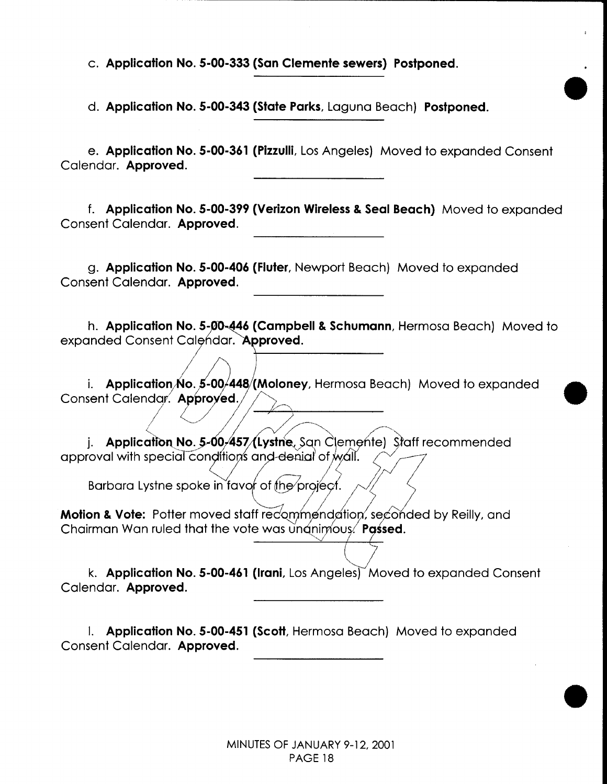c. **Application No. 5-00-333 (San Clemente sewers) Postponed.** 

d. **Application No. 5-00-343 (State Parks,** Laguna Beach) **Postponed.** 

e. **Application No. 5-00-361 (Pizzulli,** Los Angeles) Moved to expanded Consent Calendar. **Approved.** 

•

•

•

**f. Application No. 5-00-399 (Verizon Wireless & Seal Beach)** Moved to expanded Consent Calendar. **Approved.** 

g. **Application No. 5-00-406 (Fiuter,** Newport Beach) Moved to expanded Consent Calendar. **Approved.** 

h. **Application No. 5-00-446 (Campbell & Schumann, Hermosa Beach) Moved to** expanded Consent Calendar. Approved.

i. **Application No. 5-00/448 (Moloney**, Hermosa Beach) Moved to expanded Consent Calendar. **Approved.**  $\diagup$ Consent Calend~l ~fed. \_\_\_,)....\_v\_~-';------ 1 "-, \_\_\_\_ / ,) /--, ·< ....... "., //" .....\_,, /-~., .... ,

j. **Application No. 5-00-457 (Lystne**, San Clemente) Staff recommended approval with special conditions and denial of wall.

Barbara Lystne spoke in favor of the *project*.

Motion & Vote: Potter moved staff recommendation, seconded by Reilly, and Chairman Wan ruled that the vote was unanimous.<sup>/</sup> Passed.

k. **Application No. 5-00-461 (Irani**, Los Angeles) Moved to expanded Consent Calendar. **Approved.** 

''v ( *f::-*

I. **Application No. 5-00-451 (ScoH,** Hermosa Beach) Moved to expanded Consent Calendar. **Approved.**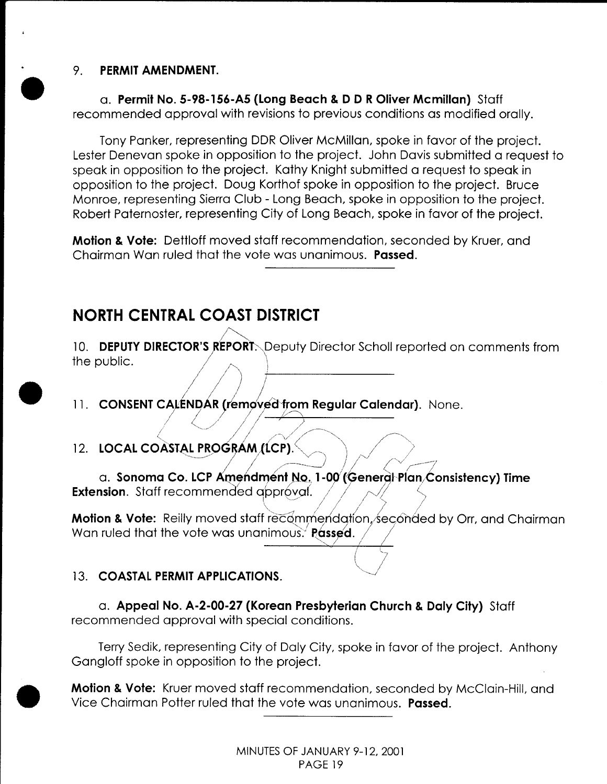### 9. **PERMIT AMENDMENT.**

•<br>●

•

•

a. **Permit No. 5-98-156-A5 (Long Beach & D DR Oliver Mcmillan)** Staff recommended approval with revisions to previous conditions as modified orally.

Tony Panker, representing DDR Oliver McMillan, spoke in favor of the project. Lester Denevan spoke in opposition to the project. John Davis submitted a request to speak in opposition to the project. Kathy Knight submitted a request to speak in opposition to the project. Doug Korthof spoke in opposition to the project. Bruce Monroe, representing Sierra Club- Long Beach, spoke in opposition to the project. Robert Paternoster, representing City of Long Beach, spoke in favor of the project.

**Motion & Vote:** Dettloff moved staff recommendation, seconded by Kruer, and Chairman Wan ruled that the vote was unanimous. **Passed .** 

## **NORTH CENTRAL COAST DISTRICT**

10. DEPUTY DIRECTOR'S REPORT. Deputy Director Scholl reported on comments from the public.

11. CONSENT CALENDAR (removed from Regular Calendar). None.

12. LOCAL COASTAL PROGRAM (LCP).

a. Sonoma Co. LCP Amendment No. 1-00 (General Plan Consistency) Time **Extension.** Staff recommended approval.

Motion & Vote: Reilly moved staff recommendation, seconded by Orr, and Chairman Wan ruled that the vote was unanimous. Passed.

### 13. **COASTAL PERMIT APPLICATIONS.**

a. **Appeal No. A-2-00-27 (Korean Presbyterian Church & Daly City)** Staff recommended approval with special conditions.

Terry Sedik, representing City of Daly City, spoke in favor of the project. Anthony Gangloff spoke in opposition to the project.

**Motion & Vote:** Kruer moved staff recommendation, seconded by McClain-Hill, and Vice Chairman Potter ruled that the vote was unanimous. **Passed.**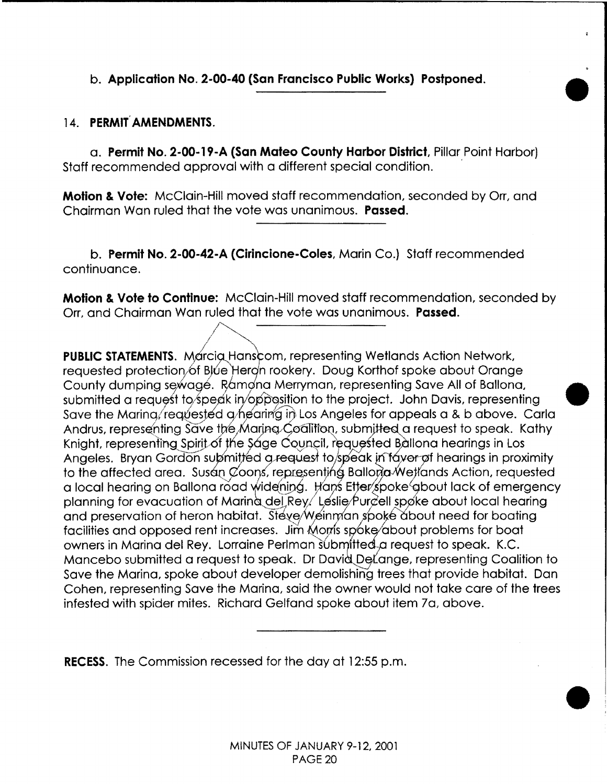### b. **Application No. 2-00-40 (San Francisco Public Works) Postponed.**

### 14. **PERMIT, AMENDMENTS.**

a. **Permit No. 2-00·19·A (San Mateo County Harbor District,** Pillar Point Harbor) Staff recommended approval with a different special condition.

•

 $\bullet$ 

**Motion & Vote:** McClain-Hill moved staff recommendation, seconded by Orr, and Chairman Wan ruled that the vote was unanimous. **Passed.** 

b. **Permit No. 2-00·42-A (Cirincione-Coles,** Marin Co.) Staff recommended continuance.

**Motion & Vote to Continue:** McClain-Hill moved staff recommendation, seconded by Orr, and Chairman Wan ruled that the vote was unanimous. **Passed.** 

PUBLIC STATEMENTS. Marcia Hanscom, representing Wetlands Action Network, requested protection of Blue Hergh rookery. Doug Korthof spoke about Orange County dumping sewage. Ramona Merryman, representing Save All of Ballona, submitted a request to speak in opposition to the project. John Davis, representing Save the Marina/requested a hearing in Los Angeles for appeals a & b above. Carla Andrus, representing Save the Maring Coalition, submitted a request to speak. Kathy Knight, representing Spirit of the Sage Council, requested Ballona hearings in Los Angeles. Bryan Gordon submitted a request to speak in tayor of hearings in proximity to the affected area. Susan Coons, representing Ballona Wellands Action, requested a local hearing on Ballona road widening. Hans Etter spoke about lack of emergency planning for evacuation of Maring del Rey/ Leslie/Purcell spoke about local hearing and preservation of heron habitat. Steve/Weinman spoke about need for boating facilities and opposed rent increases. Jim Moms spoke/about problems for boat owners in Marina del Rey. Lorraine Perlman submitted a request to speak. K.C. Mancebo submitted a request to speak. Dr David DeLange, representing Coalition to Save the Marina, spoke about developer demolishing trees that provide habitat. Dan Cohen, representing Save the Marina, said the owner would not take care of the trees infested with spider mites. Richard Gelfand spoke about item 7a, above.

**RECESS.** The Commission recessed for the day at 12:55 p.m.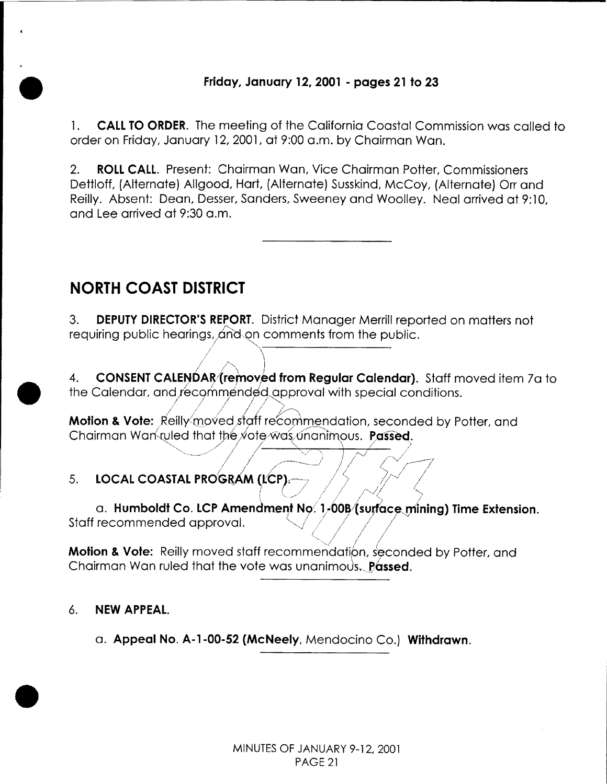### Friday, January 12, 2001 - pages 21 to 23

**CALL TO ORDER.** The meeting of the California Coastal Commission was called to  $1<sup>1</sup>$ order on Friday, January 12, 2001, at 9:00 a.m. by Chairman Wan.

**ROLL CALL.** Present: Chairman Wan, Vice Chairman Potter, Commissioners  $\overline{2}$ . Dettloff, (Alternate) Allgood, Hart, (Alternate) Susskind, McCoy, (Alternate) Orr and Reilly. Absent: Dean, Desser, Sanders, Sweeney and Woolley. Neal arrived at 9:10, and Lee arrived at 9:30 a.m.

## **NORTH COAST DISTRICT**

**DEPUTY DIRECTOR'S REPORT.** District Manager Merrill reported on matters not  $3.$ requiring public hearings, and on comments from the public.

**CONSENT CALENDAR** (removed from Regular Calendar). Staff moved item 7a to  $\overline{4}$ . the Calendar, and recommended approval with special conditions.

**Motion & Vote:** Reilly moved staff recommendation, seconded by Potter, and Chairman Wanvuled that the vote was unanimous. Passed.

### $5<sub>1</sub>$ LOCAL COASTAL PROGRAM (LCP).

a. Humboldt Co. LCP Amendment No. 1-00B (surface mining) Time Extension. Staff recommended approval.

Motion & Vote: Reilly moved staff recommendation, seconded by Potter, and Chairman Wan ruled that the vote was unanimous. **Passed.** 

#### $6.$ **NEW APPEAL.**

a. Appeal No. A-1-00-52 (McNeely, Mendocino Co.) Withdrawn.

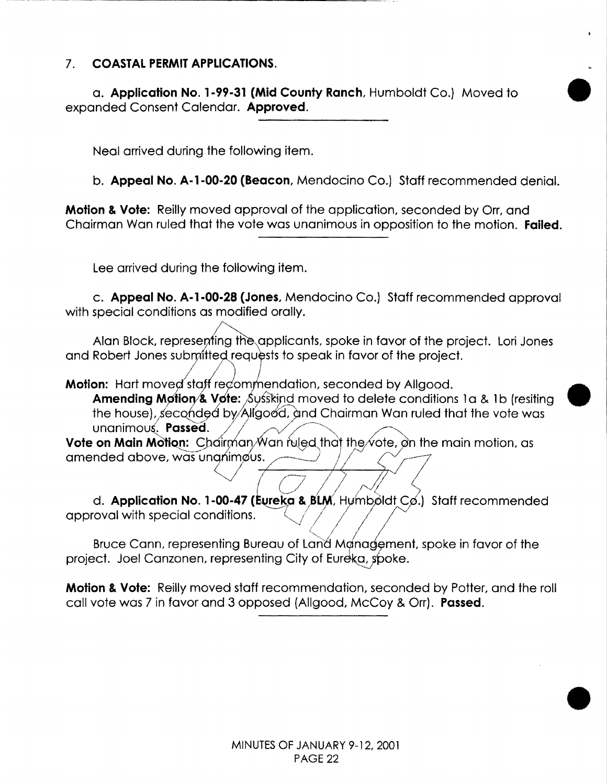### 7. **COASTAL PERMIT APPLICATIONS.**

a. **Application No. 1-99-31 (Mid County Ranch,** Humboldt Co.) Moved to • expanded Consent Calendar. **Approved.** 

Neal arrived during the following item.

b. **Appeal No. A-1-00-20 (Beacon,** Mendocino Co.) Staff recommended denial.

**Motion & Vote:** Reilly moved approval of the application, seconded by Orr, and Chairman Wan ruled that the vote was unanimous in opposition to the motion. **Failed.** 

Lee arrived during the following item.

c. **Appeal No. A-1-00-28 (Jones,** Mendocino Co.) Staff recommended approval with special conditions as modified orally.

Alan Block, representing the applicants, spoke in favor of the project. Lori Jones and Robert Jones submitted requests to speak in favor of the project.

Motion: Hart moved staff recommendation, seconded by Allgood.

**Amending Motion & Vote:** Susskind moved to delete conditions 1 a & 1 b (resiting the house), seconded by Allgood, and Chairman Wan ruled that the vote was unanimous. **Passed.** 

**Vote on Main Motion:** Chairman Wan fuled that the vote, on the main motion, as amended above, was unanimous.

I (-1 I *l* J S. d. **Application No. 1-00-47 (Eureka & BLM**, Hymboldt Co.) Staff recommended approval with special conditions.

Bruce Cann, representing Bureau of Land Management, spoke in favor of the project. Joel Canzonen, representing City of Eureka, spoke.

**Motion & Vote:** Reilly moved staff recommendation, seconded by Potter, and the roll call vote was 7 in favor and 3 opposed (Allgood, McCoy & Orr). **Passed.** 

--~-.~

•